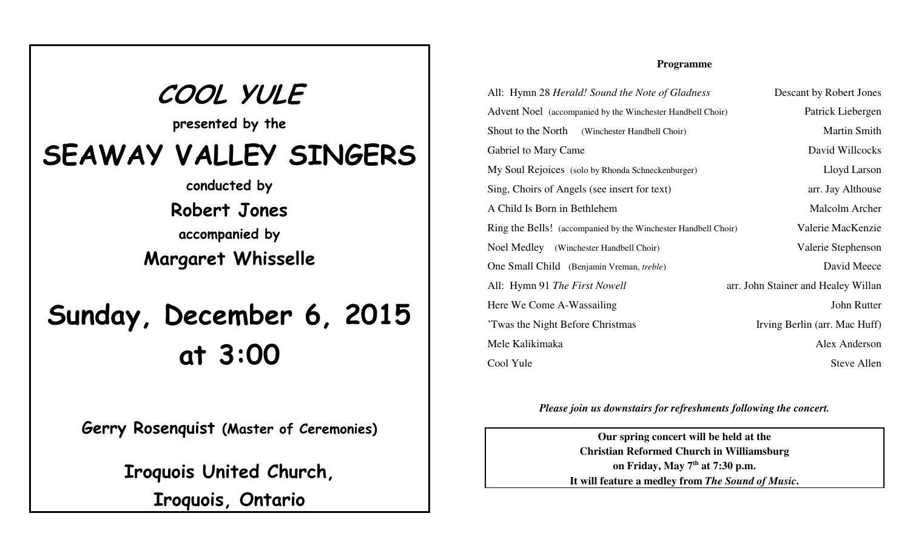**COOL YULE presented by theSEAWAY VALLEY SINGERSconducted byRobert Jonesaccompanied byMargaret WhisselleSunday, December 6, 2015at 3:00**

**Gerry Rosenquist (Master of Ceremonies)**

**Iroquois United Church,**

**Iroquois, Ontario**

## **Programme**

| All: Hymn 28 Herald! Sound the Note of Gladness                | Descant by Robert Jones             |
|----------------------------------------------------------------|-------------------------------------|
| Advent Noel (accompanied by the Winchester Handbell Choir)     | Patrick Liebergen                   |
| Shout to the North (Winchester Handbell Choir)                 | <b>Martin Smith</b>                 |
| Gabriel to Mary Came                                           | David Willcocks                     |
| My Soul Rejoices (solo by Rhonda Schneckenburger)              | Lloyd Larson                        |
| Sing, Choirs of Angels (see insert for text)                   | arr. Jay Althouse                   |
| A Child Is Born in Bethlehem                                   | Malcolm Archer                      |
| Ring the Bells! (accompanied by the Winchester Handbell Choir) | Valerie MacKenzie                   |
| Noel Medley (Winchester Handbell Choir)                        | Valerie Stephenson                  |
| One Small Child (Benjamin Vreman, treble)                      | David Meece                         |
| All: Hymn 91 The First Nowell                                  | arr. John Stainer and Healey Willan |
| Here We Come A-Wassailing                                      | John Rutter                         |
| Twas the Night Before Christmas                                | Irving Berlin (arr. Mac Huff)       |
| Mele Kalikimaka                                                | Alex Anderson                       |
| Cool Yule                                                      | Steve Allen                         |

*Please join us downstairs for refreshments following the concert.*

**Our spring concert will be held at the Christian Reformed Church in Williamsburgon Friday, May 7th at 7:30 p.m.It will feature a medley from** *The Sound of Music***.**